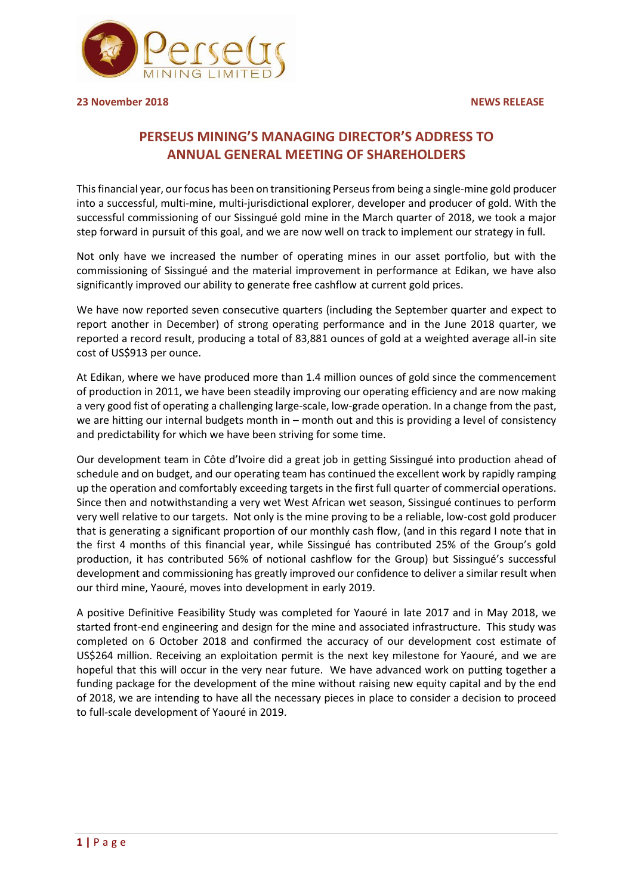

**23 November 2018 NEWS RELEASE**

# **PERSEUS MINING'S MANAGING DIRECTOR'S ADDRESS TO ANNUAL GENERAL MEETING OF SHAREHOLDERS**

This financial year, our focus has been on transitioning Perseus from being a single-mine gold producer into a successful, multi-mine, multi-jurisdictional explorer, developer and producer of gold. With the successful commissioning of our Sissingué gold mine in the March quarter of 2018, we took a major step forward in pursuit of this goal, and we are now well on track to implement our strategy in full.

Not only have we increased the number of operating mines in our asset portfolio, but with the commissioning of Sissingué and the material improvement in performance at Edikan, we have also significantly improved our ability to generate free cashflow at current gold prices.

We have now reported seven consecutive quarters (including the September quarter and expect to report another in December) of strong operating performance and in the June 2018 quarter, we reported a record result, producing a total of 83,881 ounces of gold at a weighted average all-in site cost of US\$913 per ounce.

At Edikan, where we have produced more than 1.4 million ounces of gold since the commencement of production in 2011, we have been steadily improving our operating efficiency and are now making a very good fist of operating a challenging large-scale, low-grade operation. In a change from the past, we are hitting our internal budgets month in – month out and this is providing a level of consistency and predictability for which we have been striving for some time.

Our development team in Côte d'Ivoire did a great job in getting Sissingué into production ahead of schedule and on budget, and our operating team has continued the excellent work by rapidly ramping up the operation and comfortably exceeding targets in the first full quarter of commercial operations. Since then and notwithstanding a very wet West African wet season, Sissingué continues to perform very well relative to our targets. Not only is the mine proving to be a reliable, low-cost gold producer that is generating a significant proportion of our monthly cash flow, (and in this regard I note that in the first 4 months of this financial year, while Sissingué has contributed 25% of the Group's gold production, it has contributed 56% of notional cashflow for the Group) but Sissingué's successful development and commissioning has greatly improved our confidence to deliver a similar result when our third mine, Yaouré, moves into development in early 2019.

A positive Definitive Feasibility Study was completed for Yaouré in late 2017 and in May 2018, we started front-end engineering and design for the mine and associated infrastructure. This study was completed on 6 October 2018 and confirmed the accuracy of our development cost estimate of US\$264 million. Receiving an exploitation permit is the next key milestone for Yaouré, and we are hopeful that this will occur in the very near future. We have advanced work on putting together a funding package for the development of the mine without raising new equity capital and by the end of 2018, we are intending to have all the necessary pieces in place to consider a decision to proceed to full-scale development of Yaouré in 2019.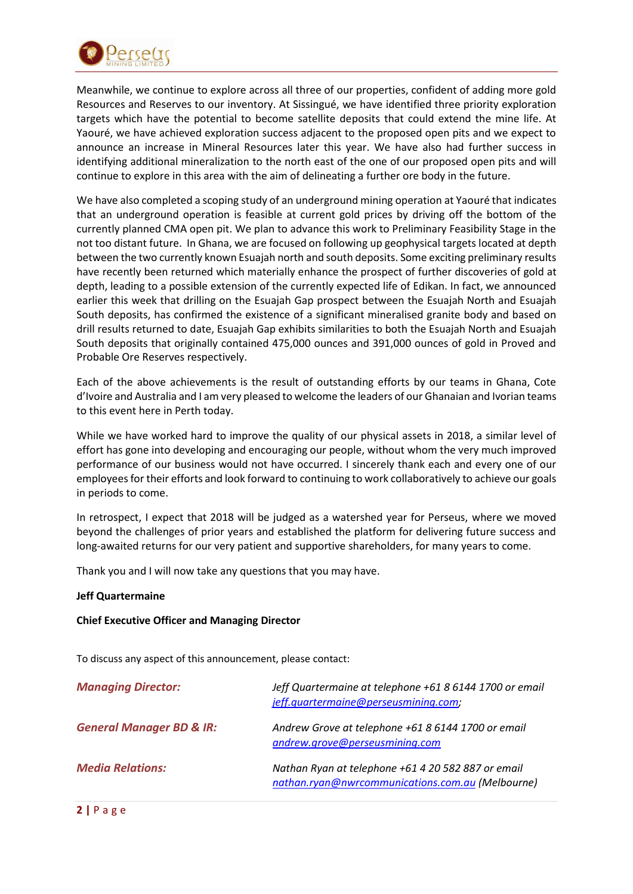

Meanwhile, we continue to explore across all three of our properties, confident of adding more gold Resources and Reserves to our inventory. At Sissingué, we have identified three priority exploration targets which have the potential to become satellite deposits that could extend the mine life. At Yaouré, we have achieved exploration success adjacent to the proposed open pits and we expect to announce an increase in Mineral Resources later this year. We have also had further success in identifying additional mineralization to the north east of the one of our proposed open pits and will continue to explore in this area with the aim of delineating a further ore body in the future.

We have also completed a scoping study of an underground mining operation at Yaouré that indicates that an underground operation is feasible at current gold prices by driving off the bottom of the currently planned CMA open pit. We plan to advance this work to Preliminary Feasibility Stage in the not too distant future. In Ghana, we are focused on following up geophysical targets located at depth between the two currently known Esuajah north and south deposits. Some exciting preliminary results have recently been returned which materially enhance the prospect of further discoveries of gold at depth, leading to a possible extension of the currently expected life of Edikan. In fact, we announced earlier this week that drilling on the Esuajah Gap prospect between the Esuajah North and Esuajah South deposits, has confirmed the existence of a significant mineralised granite body and based on drill results returned to date, Esuajah Gap exhibits similarities to both the Esuajah North and Esuajah South deposits that originally contained 475,000 ounces and 391,000 ounces of gold in Proved and Probable Ore Reserves respectively.

Each of the above achievements is the result of outstanding efforts by our teams in Ghana, Cote d'Ivoire and Australia and I am very pleased to welcome the leaders of our Ghanaian and Ivorian teams to this event here in Perth today.

While we have worked hard to improve the quality of our physical assets in 2018, a similar level of effort has gone into developing and encouraging our people, without whom the very much improved performance of our business would not have occurred. I sincerely thank each and every one of our employees for their efforts and look forward to continuing to work collaboratively to achieve our goals in periods to come.

In retrospect, I expect that 2018 will be judged as a watershed year for Perseus, where we moved beyond the challenges of prior years and established the platform for delivering future success and long-awaited returns for our very patient and supportive shareholders, for many years to come.

Thank you and I will now take any questions that you may have.

## **Jeff Quartermaine**

## **Chief Executive Officer and Managing Director**

To discuss any aspect of this announcement, please contact:

| <b>Managing Director:</b>           | Jeff Quartermaine at telephone +61 8 6144 1700 or email<br>jeff.quartermaine@perseusmining.com;        |
|-------------------------------------|--------------------------------------------------------------------------------------------------------|
| <b>General Manager BD &amp; IR:</b> | Andrew Grove at telephone +61 8 6144 1700 or email<br>andrew.grove@perseusmining.com                   |
| <b>Media Relations:</b>             | Nathan Ryan at telephone +61 4 20 582 887 or email<br>nathan.ryan@nwrcommunications.com.au (Melbourne) |